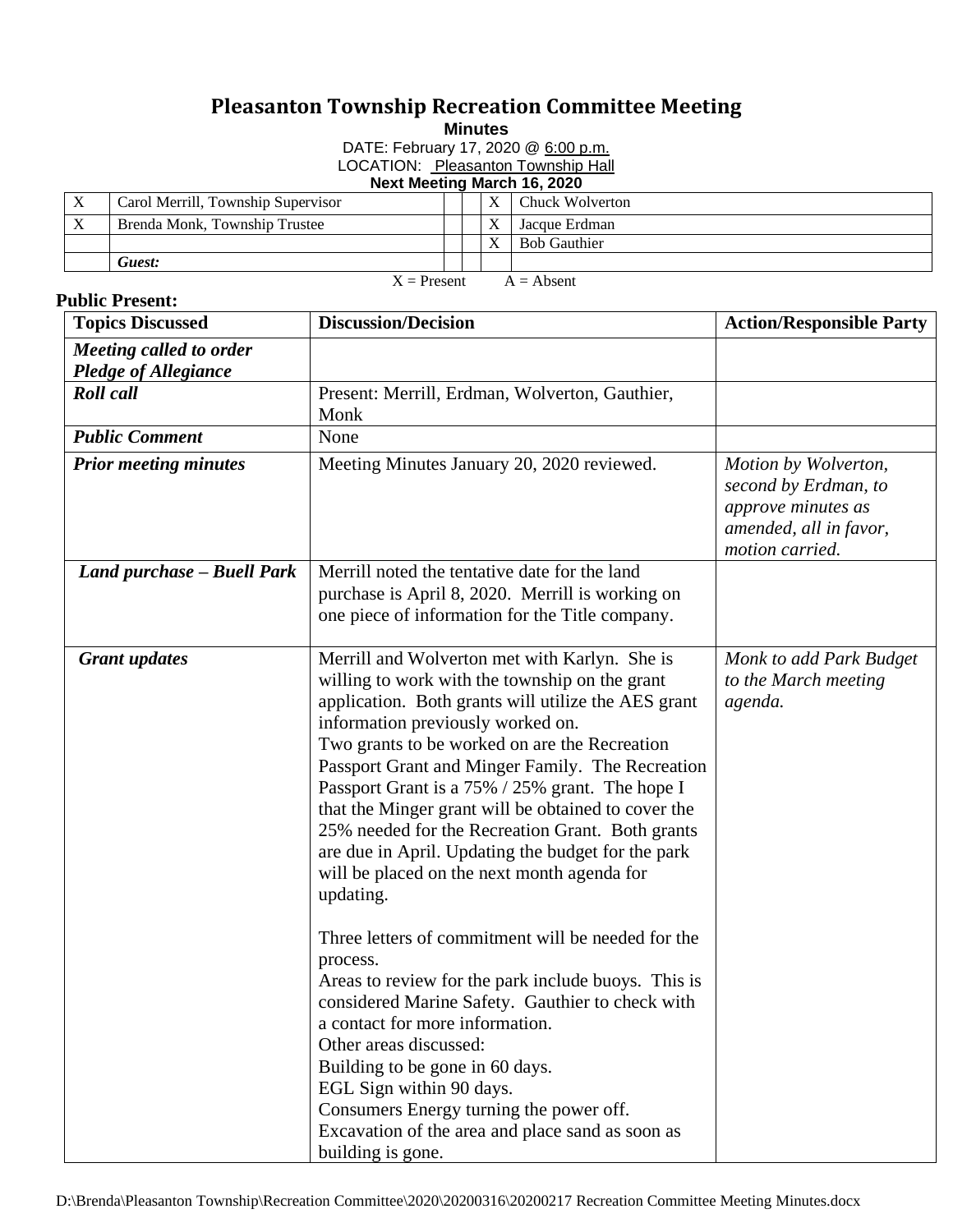## **Pleasanton Township Recreation Committee Meeting**

**Minutes**

DATE: February 17, 2020 @ 6:00 p.m.

LOCATION: Pleasanton Township Hall

| Next Meeting March 16, 2020   |                                    |  |  |   |                        |  |  |  |
|-------------------------------|------------------------------------|--|--|---|------------------------|--|--|--|
| $\boldsymbol{\mathrm{X}}$     | Carol Merrill, Township Supervisor |  |  | X | <b>Chuck Wolverton</b> |  |  |  |
| X                             | Brenda Monk, Township Trustee      |  |  | X | Jacque Erdman          |  |  |  |
|                               |                                    |  |  | v | <b>Bob Gauthier</b>    |  |  |  |
|                               | Guest:                             |  |  |   |                        |  |  |  |
| $X =$ Present<br>$A =$ Absent |                                    |  |  |   |                        |  |  |  |

## **Public Present:**

 $X =$ Present  $A =$  Absent

| <b>Topics Discussed</b>                         | <b>Discussion/Decision</b>                                                                                                                                                                                                                                                                                                                                                                                                                                                                                                                                                                                                                                                                                                                                                                                                                                                                                                                                                                                    | <b>Action/Responsible Party</b>                                                                                 |
|-------------------------------------------------|---------------------------------------------------------------------------------------------------------------------------------------------------------------------------------------------------------------------------------------------------------------------------------------------------------------------------------------------------------------------------------------------------------------------------------------------------------------------------------------------------------------------------------------------------------------------------------------------------------------------------------------------------------------------------------------------------------------------------------------------------------------------------------------------------------------------------------------------------------------------------------------------------------------------------------------------------------------------------------------------------------------|-----------------------------------------------------------------------------------------------------------------|
| Meeting called to order<br>Pledge of Allegiance |                                                                                                                                                                                                                                                                                                                                                                                                                                                                                                                                                                                                                                                                                                                                                                                                                                                                                                                                                                                                               |                                                                                                                 |
| <b>Roll</b> call                                | Present: Merrill, Erdman, Wolverton, Gauthier,<br>Monk                                                                                                                                                                                                                                                                                                                                                                                                                                                                                                                                                                                                                                                                                                                                                                                                                                                                                                                                                        |                                                                                                                 |
| <b>Public Comment</b>                           | None                                                                                                                                                                                                                                                                                                                                                                                                                                                                                                                                                                                                                                                                                                                                                                                                                                                                                                                                                                                                          |                                                                                                                 |
| <b>Prior meeting minutes</b>                    | Meeting Minutes January 20, 2020 reviewed.                                                                                                                                                                                                                                                                                                                                                                                                                                                                                                                                                                                                                                                                                                                                                                                                                                                                                                                                                                    | Motion by Wolverton,<br>second by Erdman, to<br>approve minutes as<br>amended, all in favor,<br>motion carried. |
| Land purchase - Buell Park                      | Merrill noted the tentative date for the land<br>purchase is April 8, 2020. Merrill is working on<br>one piece of information for the Title company.                                                                                                                                                                                                                                                                                                                                                                                                                                                                                                                                                                                                                                                                                                                                                                                                                                                          |                                                                                                                 |
| <b>Grant</b> updates                            | Merrill and Wolverton met with Karlyn. She is<br>willing to work with the township on the grant<br>application. Both grants will utilize the AES grant<br>information previously worked on.<br>Two grants to be worked on are the Recreation<br>Passport Grant and Minger Family. The Recreation<br>Passport Grant is a 75% / 25% grant. The hope I<br>that the Minger grant will be obtained to cover the<br>25% needed for the Recreation Grant. Both grants<br>are due in April. Updating the budget for the park<br>will be placed on the next month agenda for<br>updating.<br>Three letters of commitment will be needed for the<br>process.<br>Areas to review for the park include buoys. This is<br>considered Marine Safety. Gauthier to check with<br>a contact for more information.<br>Other areas discussed:<br>Building to be gone in 60 days.<br>EGL Sign within 90 days.<br>Consumers Energy turning the power off.<br>Excavation of the area and place sand as soon as<br>building is gone. | Monk to add Park Budget<br>to the March meeting<br>agenda.                                                      |